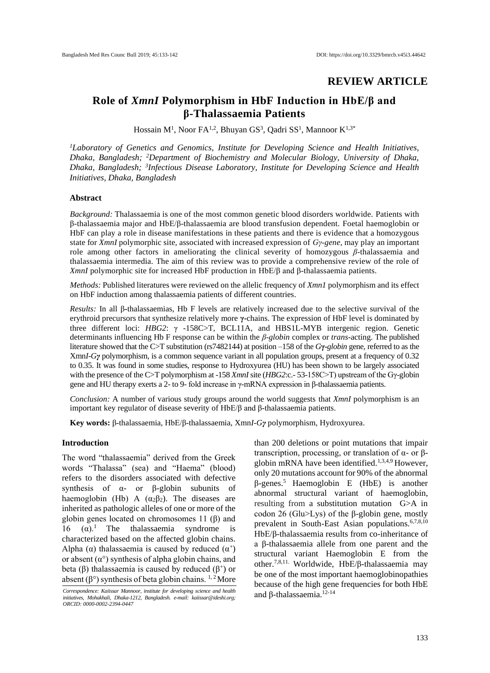# **REVIEW ARTICLE**

# **Role of** *XmnI* **Polymorphism in HbF Induction in HbE/β and β-Thalassaemia Patients**

Hossain M<sup>1</sup>, Noor FA<sup>1,2</sup>, Bhuyan GS<sup>3</sup>, Qadri SS<sup>1</sup>, Mannoor K<sup>1,3\*</sup>

*<sup>1</sup>Laboratory of Genetics and Genomics, Institute for Developing Science and Health Initiatives, Dhaka, Bangladesh; <sup>2</sup>Department of Biochemistry and Molecular Biology, University of Dhaka, Dhaka, Bangladesh; <sup>3</sup> Infectious Disease Laboratory, Institute for Developing Science and Health Initiatives, Dhaka, Bangladesh*

# **Abstract**

*Background:* Thalassaemia is one of the most common genetic blood disorders worldwide. Patients with β-thalassaemia major and HbE/β-thalassaemia are blood transfusion dependent. Foetal haemoglobin or HbF can play a role in disease manifestations in these patients and there is evidence that a homozygous state for *XmnI* polymorphic site, associated with increased expression of *Gγ-gene*, may play an important role among other factors in ameliorating the clinical severity of homozygous *β*-thalassaemia and thalassaemia intermedia. The aim of this review was to provide a comprehensive review of the role of *XmnI* polymorphic site for increased HbF production in HbE/β and β-thalassaemia patients.

*Methods:* Published literatures were reviewed on the allelic frequency of *Xmn1* polymorphism and its effect on HbF induction among thalassaemia patients of different countries.

*Results:* In all β**-**thalassaemias, Hb F levels are relatively increased due to the selective survival of the erythroid precursors that synthesize relatively more **γ-**chains. The expression of HbF level is dominated by three different loci: *HBG2*: γ -158C>T, BCL11A, and HBS1L-MYB intergenic region. Genetic determinants influencing Hb F response can be within the *β-globin* complex or *trans*-acting. The published literature showed that the C>T substitution (rs7482144) at position –158 of the *G***γ-***globin* gene, referred to as the Xmn*I-Gγ* polymorphism, is a common sequence variant in all population groups, present at a frequency of 0.32 to 0.35. It was found in some studies, response to Hydroxyurea (HU) has been shown to be largely associated with the presence of the C>T polymorphism at -158 *XmnI*site (*HBG2*:c.- 53-158C>T) upstream of the Gγ-globin gene and HU therapy exerts a 2- to 9- fold increase in γ-mRNA expression in β-thalassaemia patients.

*Conclusion:* A number of various study groups around the world suggests that *XmnI* polymorphism is an important key regulator of disease severity of HbE/β and β-thalassaemia patients.

**Key words:** β-thalassaemia, HbE/β-thalassaemia, Xmn*I-Gγ* polymorphism, Hydroxyurea.

## **Introduction**

The word "thalassaemia" derived from the Greek words "Thalassa" (sea) and "Haema" (blood) refers to the disorders associated with defective synthesis of  $\alpha$ - or  $\beta$ -globin subunits of haemoglobin (Hb) A  $(\alpha_2\beta_2)$ . The diseases are inherited as pathologic alleles of one or more of the globin genes located on chromosomes 11 (β) and 16 ( $\alpha$ ).<sup>1</sup> The thalassaemia syndrome is characterized based on the affected globin chains. Alpha ( $\alpha$ ) thalassaemia is caused by reduced  $(\alpha^+)$ or absent  $(\alpha^{\circ})$  synthesis of alpha globin chains, and beta (β) thalassaemia is caused by reduced ( $β<sup>+</sup>$ ) or absent ( $\beta^{\circ}$ ) synthesis of beta globin chains. <sup>1, 2</sup> More

than 200 deletions or point mutations that impair transcription, processing, or translation of α- or βglobin mRNA have been identified.<sup>1,3,4,9</sup> However, only 20 mutations account for 90% of the abnormal  $β$ -genes.<sup>5</sup> Haemoglobin E (HbE) is another abnormal structural variant of haemoglobin, resulting from a substitution mutation G>A in codon 26 (Glu>Lys) of the β-globin gene, mostly prevalent in South-East Asian populations.<sup>6,7,8,10</sup> HbE/β-thalassaemia results from co-inheritance of a β-thalassaemia allele from one parent and the structural variant Haemoglobin E from the other.7,8,11. Worldwide, HbE/β-thalassaemia may be one of the most important haemoglobinopathies because of the high gene frequencies for both HbE and  $\beta$ -thalassaemia.<sup>12-14</sup>

Correspondence: Kaiissar Mannoor, institute for developing science and health **12-14**<br>initiatives, Mohakhali, Dhaka-1212, Bangladesh. e-mail: kaiissar@ideshi.org; **120 and β-thalassaemia**.<sup>12-14</sup> *ORCID: 0000-0002-2394-0447*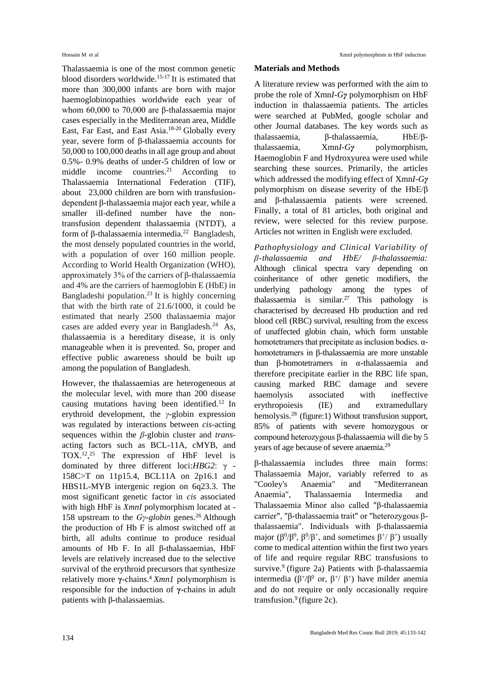Thalassaemia is one of the most common genetic blood disorders worldwide.15-17 It is estimated that more than 300,000 infants are born with major haemoglobinopathies worldwide each year of whom 60,000 to 70,000 are β-thalassaemia major cases especially in the Mediterranean area, Middle East, Far East, and East Asia.<sup>18-20</sup> Globally every year, severe form of β-thalassaemia accounts for 50,000 to 100,000 deaths in all age group and about 0.5%- 0.9% deaths of under-5 children of low or middle income countries.<sup>21</sup> According to Thalassaemia International Federation (TIF), about 23,000 children are born with transfusiondependent β-thalassaemia major each year, while a smaller ill-defined number have the nontransfusion dependent thalassaemia (NTDT), a form of β-thalassaemia intermedia.<sup>22</sup> Bangladesh, the most densely populated countries in the world, with a population of over 160 million people. According to World Health Organization (WHO), approximately 3% of the carriers of β-thalassaemia and 4% are the carriers of haemoglobin E (HbE) in Bangladeshi population.<sup>23</sup> It is highly concerning that with the birth rate of 21.6/1000, it could be estimated that nearly 2500 thalassaemia major cases are added every year in Bangladesh.<sup>24</sup> As, thalassaemia is a hereditary disease, it is only manageable when it is prevented. So, proper and effective public awareness should be built up among the population of Bangladesh.

However, the thalassaemias are heterogeneous at the molecular level, with more than 200 disease causing mutations having been identified.<sup>12</sup> In erythroid development, the *γ-*globin expression was regulated by interactions between *cis*-acting sequences within the *β-*globin cluster and *trans*acting factors such as BCL-11A, cMYB, and TOX.<sup>12</sup>,<sup>25</sup> The expression of HbF level is dominated by three different loci:*HBG2*: γ - 158C>T on 11p15.4, BCL11A on 2p16.1 and HBS1L-MYB intergenic region on 6q23.3. The most significant genetic factor in *cis* associated with high HbF is *XmnI* polymorphism located at - 158 upstream to the *Gy-globin* genes.<sup>26</sup> Although the production of Hb F is almost switched off at birth, all adults continue to produce residual amounts of Hb F. In all β**-**thalassaemias, HbF levels are relatively increased due to the selective survival of the erythroid precursors that synthesize relatively more **γ-**chains.<sup>4</sup>*Xmn1* polymorphism is responsible for the induction of **γ-**chains in adult patients with β**-**thalassaemias.

#### **Materials and Methods**

A literature review was performed with the aim to probe the role of Xmn*I-Gγ* polymorphism on HbF induction in thalassaemia patients. The articles were searched at PubMed, google scholar and other Journal databases. The key words such as thalassaemia, β-thalassaemia, HbE/βthalassaemia, Xmn*I-Gγ* polymorphism, Haemoglobin F and Hydroxyurea were used while searching these sources. Primarily, the articles which addressed the modifying effect of Xmn*I-Gγ* polymorphism on disease severity of the HbE/β and β-thalassaemia patients were screened. Finally, a total of 81 articles, both original and review, were selected for this review purpose. Articles not written in English were excluded.

*Pathophysiology and Clinical Variability of β-thalassaemia and HbE/ β-thalassaemia:* Although clinical spectra vary depending on coinheritance of other genetic modifiers, the underlying pathology among the types of thalassaemia is similar.<sup>27</sup> This pathology is characterised by decreased Hb production and red blood cell (RBC) survival, resulting from the excess of unaffected globin chain, which form unstable homotetramers that precipitate as inclusion bodies. αhomotetramers in β-thalassaemia are more unstable than β-homotetramers in α-thalassaemia and therefore precipitate earlier in the RBC life span, causing marked RBC damage and severe haemolysis associated with ineffective erythropoiesis (IE) and extramedullary hemolysis.<sup>28</sup> (figure:1) Without transfusion support, 85% of patients with severe homozygous or compound heterozygous β-thalassaemia will die by 5 years of age because of severe anaemia.<sup>29</sup>

β-thalassaemia includes three main forms: Thalassaemia Major, variably referred to as "Cooley's Anaemia" and "Mediterranean Anaemia", Thalassaemia Intermedia and Thalassaemia Minor also called "β-thalassaemia carrier", "β-thalassaemia trait" or "heterozygous βthalassaemia". Individuals with β-thalassaemia major  $(\beta^0/\beta^0, \beta^0/\beta^+,$  and sometimes  $\beta^+/\beta^+$ ) usually come to medical attention within the first two years of life and require regular RBC transfusions to survive.<sup>9</sup> (figure 2a) Patients with β-thalassaemia intermedia ( $\beta^{+}/\beta^{0}$  or,  $\beta^{+}/\beta^{+}$ ) have milder anemia and do not require or only occasionally require transfusion. $9$  (figure 2c).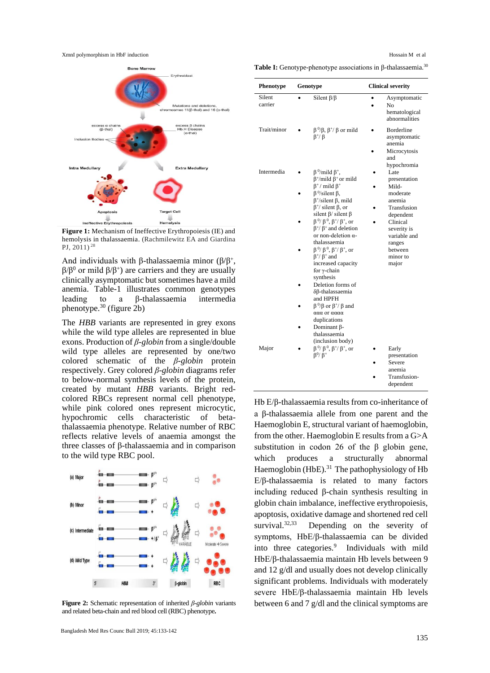XmnI polymorphism in HbF induction  $\blacksquare$ 



**Figure 1:** Mechanism of Ineffective Erythropoiesis (IE) and hemolysis in thalassaemia. (Rachmilewitz EA and Giardina PJ, 2011)<sup>28</sup>

And individuals with β-thalassaemia minor ( $\beta/\beta^+$ ,  $β/β<sup>0</sup>$  or mild  $β/β<sup>+</sup>$ ) are carriers and they are usually clinically asymptomatic but sometimes have a mild anemia. Table-1 illustrates common genotypes leading to a β-thalassaemia intermedia phenotype.<sup>30</sup> (figure 2b)

The *HBB* variants are represented in grey exons while the wild type alleles are represented in blue exons. Production of *β-globin* from a single/double wild type alleles are represented by one/two colored schematic of the *β-globin* protein respectively. Grey colored *β-globin* diagrams refer to below-normal synthesis levels of the protein, created by mutant *HBB* variants. Bright redcolored RBCs represent normal cell phenotype, while pink colored ones represent microcytic, hypochromic cells characteristic of betathalassaemia phenotype. Relative number of RBC reflects relative levels of anaemia amongst the three classes of β-thalassaemia and in comparison to the wild type RBC pool.



**Figure 2:** Schematic representation of inherited *β-globin* variants and related beta-chain and red blood cell (RBC) phenotype**.** 

**Table I:** Genotype-phenotype associations in β-thalassaemia.<sup>30</sup>

| Phenotype         | Genotype                                                                                                                                                                                                                                                                                                                                                                                                                                                                                                                                                                                                                                                                                          | <b>Clinical severity</b>                                                                                                                                                            |
|-------------------|---------------------------------------------------------------------------------------------------------------------------------------------------------------------------------------------------------------------------------------------------------------------------------------------------------------------------------------------------------------------------------------------------------------------------------------------------------------------------------------------------------------------------------------------------------------------------------------------------------------------------------------------------------------------------------------------------|-------------------------------------------------------------------------------------------------------------------------------------------------------------------------------------|
| Silent<br>carrier | Silent $\beta/\beta$                                                                                                                                                                                                                                                                                                                                                                                                                                                                                                                                                                                                                                                                              | Asymptomatic<br>No<br>hematological<br>abnormalities                                                                                                                                |
| Trait/minor       | $\beta^0/\beta$ , $\beta^+/\beta$ or mild<br>$\beta^+$ / $\beta$                                                                                                                                                                                                                                                                                                                                                                                                                                                                                                                                                                                                                                  | <b>Borderline</b><br>asymptomatic<br>anemia<br>Microcytosis<br>and                                                                                                                  |
| Intermedia        | $\beta^0$ /mild $\beta^+$ ,<br>$\beta^+$ /mild $\beta^+$ or mild<br>$\beta^+$ / mild $\beta^+$<br>$\beta^0$ /silent $\beta$ ,<br>$\beta^{+}/$ silent $\beta$ , mild<br>$\beta^{+}/$ silent $\beta$ , or<br>silent $\beta$ / silent $\beta$<br>$\beta^0$ / $\beta^0$ , $\beta^+$ / $\beta^+$ , or<br>$\beta^{+}/\beta^{+}$ and deletion<br>or non-deletion $\alpha$ -<br>thalassaemia<br>$\beta^0$ / $\beta^0$ , $\beta^+$ / $\beta^+$ , or<br>$\beta^{+}/\beta^{+}$ and<br>increased capacity<br>for γ-chain<br>synthesis<br>Deletion forms of<br>$\delta\beta$ -thalassaemia<br>and HPFH<br>$\beta^0/\beta$ or $\beta^+/\beta$ and<br>ααα or αααα<br>duplications<br>Dominant B-<br>thalassaemia | hypochromia<br>Late<br>presentation<br>Mild-<br>moderate<br>anemia<br>Transfusion<br>dependent<br>Clinical<br>severity is<br>variable and<br>ranges<br>hetween<br>minor to<br>major |
| Major             | (inclusion body)<br>$\beta^0$ / $\beta^0$ , $\beta^+$ / $\beta^+$ , or<br>$\beta^0$ / $\beta^+$                                                                                                                                                                                                                                                                                                                                                                                                                                                                                                                                                                                                   | Early<br>presentation<br>Severe<br>anemia<br>Transfusion-<br>dependent                                                                                                              |

Hb E/β-thalassaemia results from co-inheritance of a β-thalassaemia allele from one parent and the Haemoglobin E, structural variant of haemoglobin, from the other. Haemoglobin E results from a G>A substitution in codon 26 of the  $\beta$  globin gene, which produces a structurally abnormal Haemoglobin (HbE).<sup>31</sup> The pathophysiology of Hb E/β-thalassaemia is related to many factors including reduced β-chain synthesis resulting in globin chain imbalance, ineffective erythropoiesis, apoptosis, oxidative damage and shortened red cell survival. $32,33$  Depending on the severity of symptoms, HbE/β-thalassaemia can be divided into three categories.<sup>9</sup> Individuals with mild HbE/β-thalassaemia maintain Hb levels between 9 and 12 g/dl and usually does not develop clinically significant problems. Individuals with moderately severe HbE/β-thalassaemia maintain Hb levels between 6 and 7 g/dl and the clinical symptoms are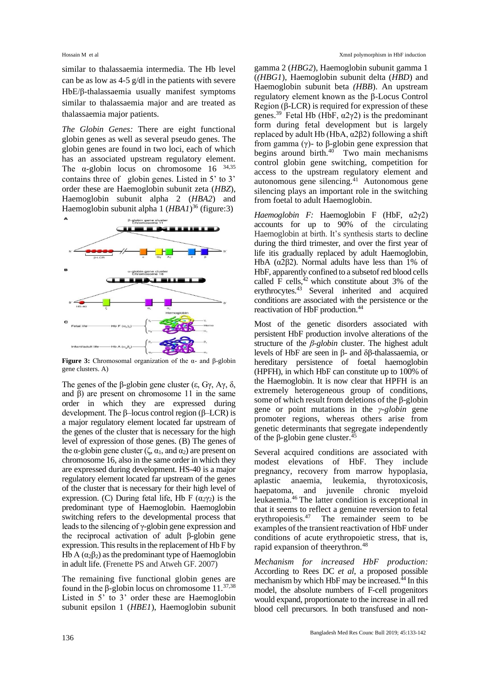similar to thalassaemia intermedia. The Hb level can be as low as 4-5 g/dl in the patients with severe HbE/β-thalassaemia usually manifest symptoms similar to thalassaemia major and are treated as thalassaemia major patients.

*The Globin Genes:* There are eight functional globin genes as well as several pseudo genes. The globin genes are found in two loci, each of which has an associated upstream regulatory element. The  $\alpha$ -globin locus on chromosome 16  $34,35$ contains three of globin genes. Listed in 5' to 3' order these are Haemoglobin subunit zeta (*HBZ*), Haemoglobin subunit alpha 2 (*HBA2*) and Haemoglobin subunit alpha 1 (*HBA1*) <sup>36</sup> (figure:3)



**Figure 3:** Chromosomal organization of the α- and β-globin gene clusters. A)

The genes of the β-globin gene cluster (ε, Gγ, Aγ,  $\delta$ , and β) are present on chromosome 11 in the same order in which they are expressed during development. The β–locus control region (β–LCR) is a major regulatory element located far upstream of the genes of the cluster that is necessary for the high level of expression of those genes. (B) The genes of the α-globin gene cluster (ζ,  $\alpha_1$ , and  $\alpha_2$ ) are present on chromosome 16, also in the same order in which they are expressed during development. HS-40 is a major regulatory element located far upstream of the genes of the cluster that is necessary for their high level of expression. (C) During fetal life, Hb F  $(\alpha_{2}\gamma_{2})$  is the predominant type of Haemoglobin. Haemoglobin switching refers to the developmental process that leads to the silencing of γ-globin gene expression and the reciprocal activation of adult β-globin gene expression. This results in the replacement of Hb F by Hb A  $(\alpha_2\beta_2)$  as the predominant type of Haemoglobin in adult life. (Frenette PS and Atweh GF. 2007)

The remaining five functional globin genes are found in the β-globin locus on chromosome 11.37,38 Listed in 5' to 3' order these are Haemoglobin subunit epsilon 1 (*HBE1*), Haemoglobin subunit gamma 2 (*HBG2*), Haemoglobin subunit gamma 1 (*(HBG1*), Haemoglobin subunit delta (*HBD*) and Haemoglobin subunit beta *(HBB*). An upstream regulatory element known as the β-Locus Control Region  $(\beta$ -LCR) is required for expression of these genes.<sup>39</sup> Fetal Hb (HbF,  $\alpha$ 2γ2) is the predominant form during fetal development but is largely replaced by adult Hb (HbA,  $α2β2$ ) following a shift from gamma (γ)- to β-globin gene expression that begins around birth. $40$  Two main mechanisms control globin gene switching, competition for access to the upstream regulatory element and autonomous gene silencing. $41$  Autonomous gene silencing plays an important role in the switching from foetal to adult Haemoglobin.

*Haemoglobin F:* Haemoglobin F (HbF, α2γ2) accounts for up to 90% of the circulating Haemoglobin at birth. It's synthesis starts to decline during the third trimester, and over the first year of life itis gradually replaced by adult Haemoglobin, HbA ( $α2β2$ ). Normal adults have less than 1% of HbF, apparently confined to a subsetof red blood cells called F cells, $42$  which constitute about 3% of the erythrocytes.<sup>43</sup> Several inherited and acquired conditions are associated with the persistence or the reactivation of HbF production. 44

Most of the genetic disorders associated with persistent HbF production involve alterations of the structure of the *β-globin* cluster. The highest adult levels of HbF are seen in β- and δβ-thalassaemia, or hereditary persistence of foetal haemoglobin (HPFH), in which HbF can constitute up to 100% of the Haemoglobin. It is now clear that HPFH is an extremely heterogeneous group of conditions, some of which result from deletions of the β-globin gene or point mutations in the *γ-globin* gene promoter regions, whereas others arise from genetic determinants that segregate independently of the β-globin gene cluster.<sup>45</sup>

Several acquired conditions are associated with modest elevations of HbF. They include pregnancy, recovery from marrow hypoplasia, aplastic anaemia, leukemia, thyrotoxicosis, haepatoma, and juvenile chronic myeloid leukaemia.<sup>46</sup>The latter condition is exceptional in that it seems to reflect a genuine reversion to fetal erythropoiesis. $47$  The remainder seem to be examples of the transient reactivation of HbF under conditions of acute erythropoietic stress, that is, rapid expansion of theerythron.<sup>48</sup>

*Mechanism for increased HbF production:* According to Rees DC *et al,* a proposed possible mechanism by which HbF may be increased.<sup>44</sup> In this model, the absolute numbers of F-cell progenitors would expand, proportionate to the increase in all red blood cell precursors. In both transfused and non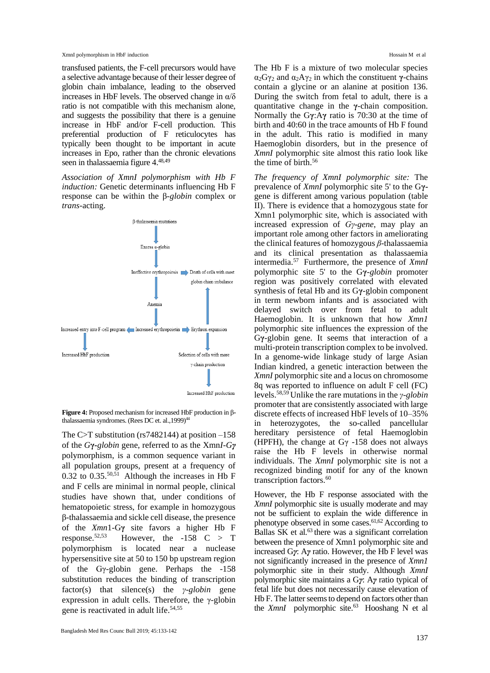transfused patients, the F-cell precursors would have a selective advantage because of their lesser degree of globin chain imbalance, leading to the observed increases in HbF levels. The observed change in  $\alpha/\delta$ ratio is not compatible with this mechanism alone, and suggests the possibility that there is a genuine increase in HbF and/or F-cell production. This preferential production of F reticulocytes has typically been thought to be important in acute increases in Epo, rather than the chronic elevations seen in thalassaemia figure 4. 48,49

*Association of XmnI polymorphism with Hb F induction:* Genetic determinants influencing Hb F response can be within the β*-globin* complex or *trans*-acting.



**Figure 4:** Proposed mechanism for increased HbF production in βthalassaemia syndromes. (Rees DC et. al., 1999)<sup>44</sup>

The C $\ge$ T substitution (rs7482144) at position  $-158$ of the *G***γ-***globin* gene, referred to as the Xmn*I-Gγ* polymorphism, is a common sequence variant in all population groups, present at a frequency of 0.32 to 0.35. $50,51$  Although the increases in Hb F and F cells are minimal in normal people, clinical studies have shown that, under conditions of hematopoietic stress, for example in homozygous β-thalassaemia and sickle cell disease, the presence of the *Xmn*1-G**γ** site favors a higher Hb F However, the  $-158$  C > T polymorphism is located near a nuclease hypersensitive site at 50 to 150 bp upstream region of the Gγ-globin gene. Perhaps the -158 substitution reduces the binding of transcription factor(s) that silence(s) the *γ-globin* gene expression in adult cells. Therefore, the γ-globin gene is reactivated in adult life. 54,55

The Hb F is a mixture of two molecular species α<sub>2</sub>Gγ<sub>2</sub> and  $α_2Aγ_2$  in which the constituent γ-chains contain a glycine or an alanine at position 136. During the switch from fetal to adult, there is a quantitative change in the **γ**-chain composition. Normally the G**γ**:A**γ** ratio is 70:30 at the time of birth and 40:60 in the trace amounts of Hb F found in the adult. This ratio is modified in many Haemoglobin disorders, but in the presence of *XmnI* polymorphic site almost this ratio look like the time of birth.<sup>56</sup>

*The frequency of XmnI polymorphic site:* The prevalence of *XmnI* polymorphic site 5' to the G**γ**gene is different among various population (table II). There is evidence that a homozygous state for Xmn1 polymorphic site, which is associated with increased expression of *Gγ-gene*, may play an important role among other factors in ameliorating the clinical features of homozygous *β*-thalassaemia and its clinical presentation as thalassaemia intermedia.<sup>57</sup> Furthermore, the presence of *XmnI* polymorphic site 5' to the G**γ***-globin* promoter region was positively correlated with elevated synthesis of fetal Hb and its G**γ**-globin component in term newborn infants and is associated with delayed switch over from fetal to adult Haemoglobin. It is unknown that how *Xmn1* polymorphic site influences the expression of the G**γ**-globin gene. It seems that interaction of a multi-protein transcription complex to be involved. In a genome-wide linkage study of large Asian Indian kindred, a genetic interaction between the *XmnI* polymorphic site and a locus on chromosome 8q was reported to influence on adult F cell (FC) levels.58,59 Unlike the rare mutations in the *γ-globin* promoter that are consistently associated with large discrete effects of increased HbF levels of 10–35% in heterozygotes, the so-called pancellular hereditary persistence of fetal Haemoglobin (HPFH), the change at  $G\gamma$  -158 does not always raise the Hb F levels in otherwise normal individuals. The *XmnI* polymorphic site is not a recognized binding motif for any of the known transcription factors.<sup>60</sup>

However, the Hb F response associated with the *XmnI* polymorphic site is usually moderate and may not be sufficient to explain the wide difference in phenotype observed in some cases.61,62 According to Ballas  $SK$  et al.<sup>63</sup> there was a significant correlation between the presence of Xmn1 polymorphic site and increased G*γ*: A*γ* ratio. However, the Hb F level was not significantly increased in the presence of *Xmn1* polymorphic site in their study. Although *XmnI*  polymorphic site maintains a G*γ*: A*γ* ratio typical of fetal life but does not necessarily cause elevation of Hb F. The latter seems to depend on factors other than the *XmnI* polymorphic site.<sup>63</sup> Hooshang N et al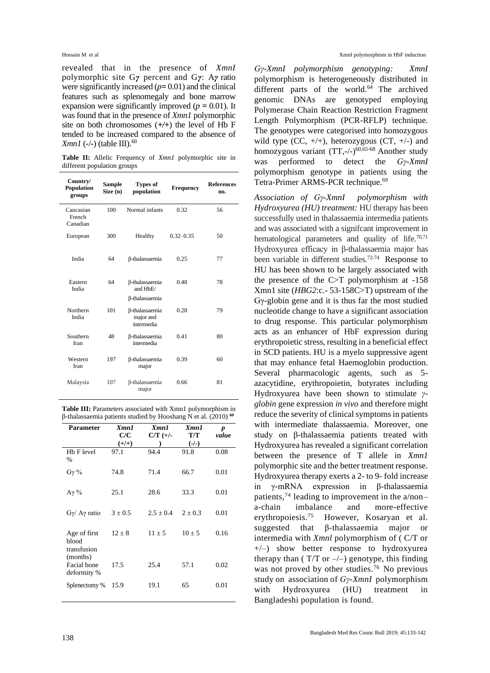revealed that in the presence of *XmnI* polymorphic site G*γ* percent and G*γ*: A*γ* ratio were significantly increased (*p=* 0.01) and the clinical features such as splenomegaly and bone marrow expansion were significantly improved ( $p = 0.01$ ). It was found that in the presence of *Xmn1* polymorphic site on both chromosomes (*+/+*) the level of Hb F tended to be increased compared to the absence of *Xmn1* (*-*/*-*) (table III). 60

**Table II:** Allelic Frequency of *Xmn1* polymorphic site in different population groups

| Country/<br><b>Population</b><br>groups | <b>Sample</b><br>Size (n) | <b>Types of</b><br>population                              | Frequency     | <b>References</b><br>no. |
|-----------------------------------------|---------------------------|------------------------------------------------------------|---------------|--------------------------|
| Caucasian<br>French<br>Canadian         | 100                       | Normal infants                                             | 0.32          | 56                       |
| European                                | 300                       | Healthy                                                    | $0.32 - 0.35$ | 50                       |
| India                                   | 64                        | <b>ß-thalassaemia</b>                                      | 0.25          | 77                       |
| Eastern<br>India                        | 64                        | <b>ß-thalassaemia</b><br>and HbF/<br><b>ß-thalassaemia</b> | 0.48          | 78                       |
| Northern<br>India                       | 101                       | <b>ß-thalassaemia</b><br>maior and<br>intermedia           | 0.28          | 79                       |
| Southern<br>Iran                        | 48                        | β-thalassaemia<br>intermedia                               | 041           | 80                       |
| Western<br>Iran                         | 197                       | <b>ß-thalassaemia</b><br>major                             | 0.39          | 60                       |
| Malaysia                                | 107                       | <b>ß-thalassaemia</b><br>major                             | 0.66          | 81                       |

Table III: Parameters associated with Xmn1 polymorphism in β-thalassaemia patients studied by Hooshang N et al. (2010) **<sup>60</sup>**

| <b>Parameter</b>                                 | Xmn1<br>C/C<br>$(+/+)$ | Xmn1<br>$C/T$ (+/- | Xmn1<br>T/T<br>$(-/-)$ | p<br>value |
|--------------------------------------------------|------------------------|--------------------|------------------------|------------|
| Hb F level<br>$\%$                               | 97.1                   | 94.4               | 91.8                   | 0.08       |
| $G\gamma\%$                                      | 74.8                   | 71.4               | 66.7                   | 0.01       |
| $Aγ$ %                                           | 25.1                   | 28.6               | 33.3                   | 0.01       |
| $G\gamma/$ A $\gamma$ ratio                      | $3 \pm 0.5$            | $2.5 + 0.4$        | $2 + 0.3$              | 0.01       |
| Age of first<br>blood<br>transfusion<br>(months) | $12 \pm 8$             | $11 \pm 5$         | $10 \pm 5$             | 0.16       |
| Facial bone<br>deformity %                       | 17.5                   | 25.4               | 57.1                   | 0.02       |
| Splenectomy %                                    | 15.9                   | 19.1               | 65                     | 0.01       |

*Gγ-XmnI polymorphism genotyping: XmnI*  polymorphism is heterogeneously distributed in different parts of the world. $64$  The archived genomic DNAs are genotyped employing Polymerase Chain Reaction Restriction Fragment Length Polymorphism (PCR-RFLP) technique. The genotypes were categorised into homozygous wild type  $(CC, +/+)$ , heterozygous  $(CT, +/-)$  and homozygous variant  $(TT, -/-)^{60, 65-68}$  Another study was performed to detect the *Gγ-XmnI*  polymorphism genotype in patients using the Tetra-Primer ARMS-PCR technique.<sup>69</sup>

*Association of Gγ-XmnI polymorphism with Hydroxyurea (HU) treatment:* HU therapy has been successfully used in thalassaemia intermedia patients and was associated with a signifcant improvement in hematological parameters and quality of life. $70,71$ Hydroxyurea efficacy in β-thalassaemia major has been variable in different studies.72-74 Response to HU has been shown to be largely associated with the presence of the C>T polymorphism at -158 Xmn1 site (*HBG2*:c.- 53-158C>T) upstream of the Gγ-globin gene and it is thus far the most studied nucleotide change to have a significant association to drug response. This particular polymorphism acts as an enhancer of HbF expression during erythropoietic stress, resulting in a beneficial effect in SCD patients. HU is a myelo suppressive agent that may enhance fetal Haemoglobin production. Several pharmacologic agents, such as 5 azacytidine, erythropoietin, butyrates including Hydroxyurea have been shown to stimulate *γglobin* gene expression *in vivo* and therefore might reduce the severity of clinical symptoms in patients with intermediate thalassaemia. Moreover, one study on β-thalassaemia patients treated with Hydroxyurea has revealed a significant correlation between the presence of T allele in *Xmn1*  polymorphic site and the better treatment response. Hydroxyurea therapy exerts a 2- to 9- fold increase in γ-mRNA expression in β-thalassaemia patients,<sup>74</sup> leading to improvement in the  $a/non$ a-chain imbalance and more-effective erythropoiesis.<sup>75</sup> However, Kosaryan et al. suggested that β-thalassaemia major or intermedia with *Xmnl* polymorphism of ( C/T or +/–) show better response to hydroxyurea therapy than ( $T/T$  or  $-/-$ ) genotype, this finding was not proved by other studies.<sup>76</sup> No previous study on association of *Gγ-XmnI* polymorphism with Hydroxyurea (HU) treatment in Bangladeshi population is found.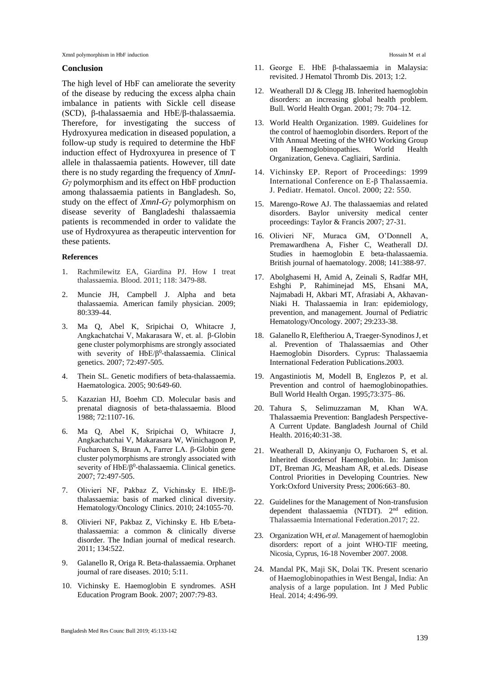XmnI polymorphism in HbF induction  $\blacksquare$ 

### **Conclusion**

The high level of HbF can ameliorate the severity of the disease by reducing the excess alpha chain imbalance in patients with Sickle cell disease (SCD), β-thalassaemia and HbE/β-thalassaemia. Therefore, for investigating the success of Hydroxyurea medication in diseased population, a follow-up study is required to determine the HbF induction effect of Hydroxyurea in presence of T allele in thalassaemia patients. However, till date there is no study regarding the frequency of *XmnI-Gγ* polymorphism and its effect on HbF production among thalassaemia patients in Bangladesh. So, study on the effect of *XmnI-Gγ* polymorphism on disease severity of Bangladeshi thalassaemia patients is recommended in order to validate the use of Hydroxyurea as therapeutic intervention for these patients.

#### **References**

- 1. Rachmilewitz EA, Giardina PJ. How I treat thalassaemia. Blood. 2011; 118: 3479-88.
- 2. Muncie JH, Campbell J. Alpha and beta thalassaemia. American family physician. 2009; 80:339-44.
- 3. Ma Q, Abel K, Sripichai O, Whitacre J, Angkachatchai V, Makarasara W, et. al. β‐Globin gene cluster polymorphisms are strongly associated with severity of HbE/β<sup>0</sup>-thalassaemia. Clinical genetics. 2007; 72:497-505.
- 4. Thein SL. Genetic modifiers of beta-thalassaemia. Haematologica. 2005; 90:649-60.
- 5. Kazazian HJ, Boehm CD. Molecular basis and prenatal diagnosis of beta-thalassaemia. Blood 1988; 72:1107-16.
- 6. Ma Q, Abel K, Sripichai O, Whitacre J, Angkachatchai V, Makarasara W, Winichagoon P, Fucharoen S, Braun A, Farrer LA. β‐Globin gene cluster polymorphisms are strongly associated with severity of HbE/β<sup>0</sup>-thalassaemia. Clinical genetics. 2007; 72:497-505.
- 7. Olivieri NF, Pakbaz Z, Vichinsky E. HbE/βthalassaemia: basis of marked clinical diversity. Hematology/Oncology Clinics. 2010; 24:1055-70.
- 8. Olivieri NF, Pakbaz Z, Vichinsky E. Hb E/betathalassaemia: a common & clinically diverse disorder. The Indian journal of medical research. 2011; 134:522.
- 9. Galanello R, Origa R. Beta-thalassaemia. Orphanet journal of rare diseases. 2010; 5:11.
- 10. Vichinsky E. Haemoglobin E syndromes. ASH Education Program Book. 2007; 2007:79-83.
- 11. George E. HbE β-thalassaemia in Malaysia: revisited. J Hematol Thromb Dis. 2013; 1:2.
- 12. Weatherall DJ & Clegg JB. Inherited haemoglobin disorders: an increasing global health problem. Bull. World Health Organ. 2001; 79: 704–12.
- 13. World Health Organization. 1989. Guidelines for the control of haemoglobin disorders. Report of the VIth Annual Meeting of the WHO Working Group on Haemoglobinopathies. World Health Organization, Geneva. Cagliairi, Sardinia.
- 14. Vichinsky EP. Report of Proceedings: 1999 International Conference on E-β Thalassaemia. J. Pediatr. Hematol. Oncol. 2000; 22: 550.
- 15. Marengo-Rowe AJ. The thalassaemias and related disorders. Baylor university medical center proceedings: Taylor & Francis 2007; 27-31.
- 16. Olivieri NF, Muraca GM, O'Donnell A, Premawardhena A, Fisher C, Weatherall DJ. Studies in haemoglobin E beta‐thalassaemia. British journal of haematology. 2008; 141:388-97.
- 17. Abolghasemi H, Amid A, Zeinali S, Radfar MH, Eshghi P, Rahiminejad MS, Ehsani MA, Najmabadi H, Akbari MT, Afrasiabi A, Akhavan-Niaki H. Thalassaemia in Iran: epidemiology, prevention, and management. Journal of Pediatric Hematology/Oncology. 2007; 29:233-38.
- 18. Galanello R, Eleftheriou A, Traeger-Synodinos J, et al. Prevention of Thalassaemias and Other Haemoglobin Disorders. Cyprus: Thalassaemia International Federation Publications.2003.
- 19. Angastiniotis M, Modell B, Englezos P, et al. Prevention and control of haemoglobinopathies. Bull World Health Organ. 1995;73:375–86.
- 20. Tahura S, Selimuzzaman M, Khan WA. Thalassaemia Prevention: Bangladesh Perspective-A Current Update. Bangladesh Journal of Child Health. 2016;40:31-38.
- 21. Weatherall D, Akinyanju O, Fucharoen S, et al. Inherited disordersof Haemoglobin. In: Jamison DT, Breman JG, Measham AR, et al.eds. Disease Control Priorities in Developing Countries. New York:Oxford University Press; 2006:663–80.
- 22. Guidelines for the Management of Non-transfusion dependent thalassaemia (NTDT). 2<sup>nd</sup> edition. Thalassaemia International Federation.2017; 22.
- 23. Organization WH, *et al*. Management of haemoglobin disorders: report of a joint WHO-TIF meeting, Nicosia, Cyprus, 16-18 November 2007. 2008.
- 24. Mandal PK, Maji SK, Dolai TK. Present scenario of Haemoglobinopathies in West Bengal, India: An analysis of a large population. Int J Med Public Heal. 2014; 4:496-99.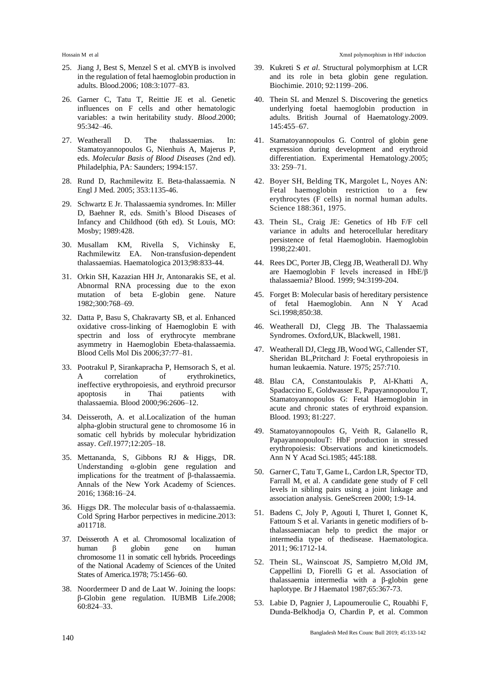- 25. Jiang J, Best S, Menzel S et al. cMYB is involved in the regulation of fetal haemoglobin production in adults. Blood.2006; 108:3:1077–83.
- 26. Garner C, Tatu T, Reittie JE et al. Genetic influences on F cells and other hematologic variables: a twin heritability study. *Blood*.2000; 95:342–46.
- 27. Weatherall D. The thalassaemias. In: Stamatoyannopoulos G, Nienhuis A, Majerus P, eds. *Molecular Basis of Blood Diseases* (2nd ed). Philadelphia, PA: Saunders; 1994:157.
- 28. Rund D, Rachmilewitz E. Beta-thalassaemia. N Engl J Med*.* 2005; 353:1135-46.
- 29. Schwartz E Jr. Thalassaemia syndromes. In: Miller D, Baehner R, eds. Smith's Blood Diseases of Infancy and Childhood (6th ed). St Louis, MO: Mosby; 1989:428.
- 30. Musallam KM, Rivella S, Vichinsky E, Rachmilewitz EA. Non-transfusion-dependent thalassaemias. Haematologica 2013;98:833-44.
- 31. Orkin SH, Kazazian HH Jr, Antonarakis SE, et al. Abnormal RNA processing due to the exon mutation of beta E-globin gene. Nature 1982;300:768–69.
- 32. Datta P, Basu S, Chakravarty SB, et al. Enhanced oxidative cross-linking of Haemoglobin E with spectrin and loss of erythrocyte membrane asymmetry in Haemoglobin Ebeta-thalassaemia. Blood Cells Mol Dis 2006;37:77–81.
- 33. Pootrakul P, Sirankapracha P, Hemsorach S, et al. correlation of erythrokinetics, ineffective erythropoiesis, and erythroid precursor apoptosis in Thai patients with thalassaemia. Blood 2000;96:2606–12.
- 34. Deisseroth, A. et al.Localization of the human alpha-globin structural gene to chromosome 16 in somatic cell hybrids by molecular hybridization assay. *Cell*.1977;12:205–18.
- 35. Mettananda, S, Gibbons RJ & Higgs, DR. Understanding α-globin gene regulation and implications for the treatment of β-thalassaemia. Annals of the New York Academy of Sciences. 2016; 1368:16–24.
- 36. Higgs DR. The molecular basis of α-thalassaemia. Cold Spring Harbor perpectives in medicine.2013: a011718.
- 37. Deisseroth A et al. Chromosomal localization of human  $\beta$  globin gene on human human β globin gene on human chromosome 11 in somatic cell hybrids. Proceedings of the National Academy of Sciences of the United States of America.1978; 75:1456–60.
- 38. Noordermeer D and de Laat W. Joining the loops: β-Globin gene regulation. IUBMB Life.2008; 60:824–33.
- 39. Kukreti S *et al*. Structural polymorphism at LCR and its role in beta globin gene regulation. Biochimie. 2010; 92:1199–206.
- 40. Thein SL and Menzel S. Discovering the genetics underlying foetal haemoglobin production in adults. British Journal of Haematology.2009. 145:455–67.
- 41. Stamatoyannopoulos G. Control of globin gene expression during development and erythroid differentiation. Experimental Hematology.2005; 33: 259–71.
- 42. Boyer SH, Belding TK, Margolet L, Noyes AN: Fetal haemoglobin restriction to a few erythrocytes (F cells) in normal human adults. Science 188:361, 1975.
- 43. Thein SL, Craig JE: Genetics of Hb F/F cell variance in adults and heterocellular hereditary persistence of fetal Haemoglobin. Haemoglobin 1998;22:401.
- 44. Rees DC, Porter JB, Clegg JB, Weatherall DJ. Why are Haemoglobin F levels increased in HbE/β thalassaemia? Blood. 1999; 94:3199-204.
- 45. Forget B: Molecular basis of hereditary persistence of fetal Haemoglobin. Ann N Y Acad Sci.1998;850:38.
- 46. Weatherall DJ, Clegg JB. The Thalassaemia Syndromes. Oxford,UK, Blackwell, 1981.
- 47. Weatherall DJ, Clegg JB, Wood WG, Callender ST, Sheridan BL,Pritchard J: Foetal erythropoiesis in human leukaemia. Nature. 1975; 257:710.
- 48. Blau CA, Constantoulakis P, Al-Khatti A, Spadaccino E, Goldwasser E, Papayannopoulou T, Stamatoyannopoulos G: Fetal Haemoglobin in acute and chronic states of erythroid expansion. Blood. 1993; 81:227.
- 49. Stamatoyannopoulos G, Veith R, Galanello R, PapayannopoulouT: HbF production in stressed erythropoiesis: Observations and kineticmodels. Ann N Y Acad Sci.1985; 445:188.
- 50. Garner C, Tatu T, Game L, Cardon LR, Spector TD, Farrall M, et al. A candidate gene study of F cell levels in sibling pairs using a joint linkage and association analysis. GeneScreen 2000; 1:9-14.
- 51. Badens C, Joly P, Agouti I, Thuret I, Gonnet K, Fattoum S et al. Variants in genetic modifiers of bthalassaemiacan help to predict the major or intermedia type of thedisease. Haematologica. 2011; 96:1712-14.
- 52. Thein SL, Wainscoat JS, Sampietro M,Old JM, Cappellini D, Fiorelli G et al. Association of thalassaemia intermedia with a β-globin gene haplotype. Br J Haematol 1987;65:367-73.
- 53. Labie D, Pagnier J, Lapoumeroulie C, Rouabhi F, Dunda-Belkhodja O, Chardin P, et al. Common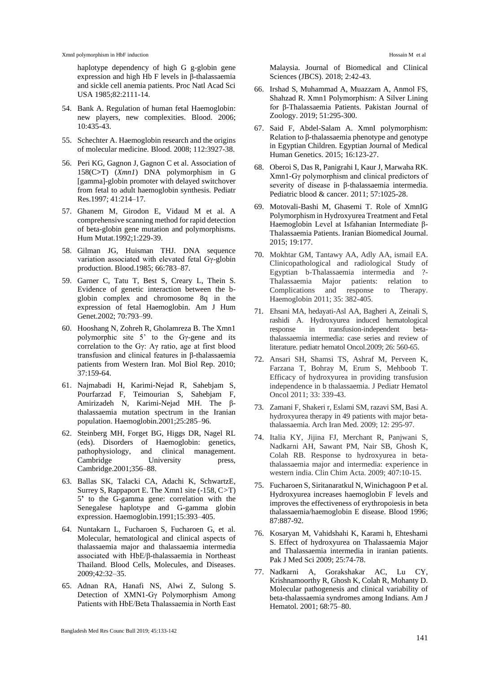haplotype dependency of high G g-globin gene expression and high Hb F levels in β-thalassaemia and sickle cell anemia patients. Proc Natl Acad Sci USA 1985;82:2111-14.

- 54. Bank A. Regulation of human fetal Haemoglobin: new players, new complexities. Blood. 2006; 10:435-43.
- 55. Schechter A. Haemoglobin research and the origins of molecular medicine. Blood. 2008; 112:3927-38.
- 56. Peri KG, Gagnon J, Gagnon C et al. Association of 158(C**>**T) (*Xmn1*) DNA polymorphism in G [gamma]-globin promoter with delayed switchover from fetal to adult haemoglobin synthesis. Pediatr Res.1997; 41:214–17.
- 57. Ghanem M, Girodon E, Vidaud M et al. A comprehensive scanning method for rapid detection of beta-globin gene mutation and polymorphisms. Hum Mutat.1992;1:229-39.
- 58. Gilman JG, Huisman THJ. DNA sequence variation associated with elevated fetal Gγ-globin production. Blood.1985; 66:783–87.
- 59. Garner C, Tatu T, Best S, Creary L, Thein S. Evidence of genetic interaction between the bglobin complex and chromosome 8q in the expression of fetal Haemoglobin. Am J Hum Genet.2002; 70:793–99.
- 60. Hooshang N, Zohreh R, Gholamreza B. The Xmn1 polymorphic site 5' to the Gγ-gene and its correlation to the Gγ: Aγ ratio, age at first blood transfusion and clinical features in β-thalassaemia patients from Western Iran. Mol Biol Rep. 2010; 37:159-64.
- 61. Najmabadi H, Karimi-Nejad R, Sahebjam S, Pourfarzad F, Teimourian S, Sahebjam F, Amirizadeh N, Karimi-Nejad MH. The βthalassaemia mutation spectrum in the Iranian population. Haemoglobin.2001;25:285–96.
- 62. Steinberg MH, Forget BG, Higgs DR, Nagel RL (eds). Disorders of Haemoglobin: genetics, pathophysiology, and clinical management. pathophysiology, and clinical management. Cambridge University press, Cambridge.2001;356–88.
- 63. Ballas SK, Talacki CA, Adachi K, SchwartzE, Surrey S, Rappaport E. The Xmn1 site (*-*158, C*>*T) 5**'** to the G-gamma gene: correlation with the Senegalese haplotype and G-gamma globin expression. Haemoglobin.1991;15:393–405.
- 64. Nuntakarn L, Fucharoen S, Fucharoen G, et al. Molecular, hematological and clinical aspects of thalassaemia major and thalassaemia intermedia associated with HbE/β-thalassaemia in Northeast Thailand. Blood Cells, Molecules, and Diseases. 2009;42:32–35.
- 65. Adnan RA, Hanafi NS, Alwi Z, Sulong S. Detection of XMN1-Gγ Polymorphism Among Patients with HbE/Βeta Thalassaemia in North East

Malaysia. Journal of Biomedical and Clinical Sciences (JBCS). 2018; 2:42-43.

- 66. Irshad S, Muhammad A, Muazzam A, Anmol FS, Shahzad R. Xmn1 Polymorphism: A Silver Lining for β-Thalassaemia Patients. Pakistan Journal of Zoology. 2019; 51:295-300.
- 67. Said F, Abdel-Salam A. XmnI polymorphism: Relation to β-thalassaemia phenotype and genotype in Egyptian Children. Egyptian Journal of Medical Human Genetics. 2015; 16:123-27.
- 68. Oberoi S, Das R, Panigrahi I, Kaur J, Marwaha RK. Xmn1‐Gγ polymorphism and clinical predictors of severity of disease in β-thalassaemia intermedia. Pediatric blood & cancer. 2011; 57:1025-28.
- 69. Motovali-Bashi M, Ghasemi T. Role of XmnIG Polymorphism in Hydroxyurea Treatment and Fetal Haemoglobin Level at Isfahanian Intermediate β-Thalassaemia Patients. Iranian Biomedical Journal. 2015; 19:177.
- 70. Mokhtar GM, Tantawy AA, Adly AA, ismail EA. Clinicopathological and radiological Study of Egyptian b-Thalassaemia intermedia and ?- Thalassaemia Major patients: relation to Complications and response to Therapy. Haemoglobin 2011; 35: 382-405.
- 71. Ehsani MA, hedayati-Asl AA, Bagheri A, Zeinali S, rashidi A. Hydroxyurea induced hematological response in transfusion-independent betathalassaemia intermedia: case series and review of literature. pediatr hematol Oncol.2009; 26: 560-65.
- 72. Ansari SH, Shamsi TS, Ashraf M, Perveen K, Farzana T, Bohray M, Erum S, Mehboob T. Efficacy of hydroxyurea in providing transfusion independence in b thalassaemia. J Pediatr Hematol Oncol 2011; 33: 339-43.
- 73. Zamani F, Shakeri r, Eslami SM, razavi SM, Basi A. hydroxyurea therapy in 49 patients with major betathalassaemia. Arch Iran Med. 2009; 12: 295-97.
- 74. Italia KY, Jijina FJ, Merchant R, Panjwani S, Nadkarni AH, Sawant PM, Nair SB, Ghosh K, Colah RB. Response to hydroxyurea in betathalassaemia major and intermedia: experience in western india. Clin Chim Acta. 2009; 407:10-15.
- 75. Fucharoen S, Siritanaratkul N, Winichagoon P et al. Hydroxyurea increases haemoglobin F levels and improves the effectiveness of erythropoiesis in beta thalassaemia/haemoglobin E disease. Blood 1996; 87:887-92.
- 76. Kosaryan M, Vahidshahi K, Karami h, Ehteshami S. Effect of hydroxyurea on Thalassaemia Major and Thalassaemia intermedia in iranian patients. Pak J Med Sci 2009; 25:74-78.
- 77. Nadkarni A, Gorakshakar AC, Lu CY, Krishnamoorthy R, Ghosh K, Colah R, Mohanty D. Molecular pathogenesis and clinical variability of beta-thalassaemia syndromes among Indians. Am J Hematol. 2001; 68:75–80.